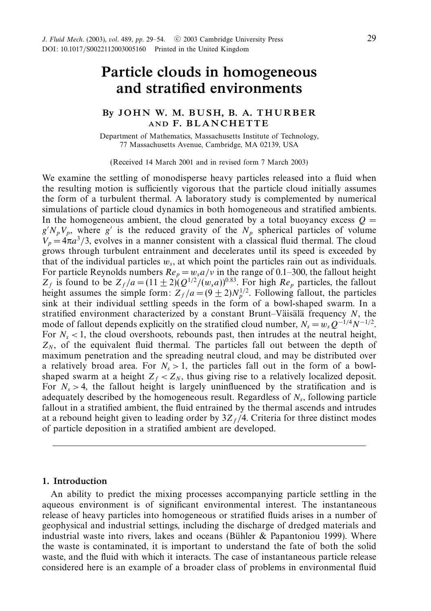# *Particle clouds in homogeneous and stratified environments*

## *By J O H N W. M. B U S H, B. A. T HURBER AND F. BLANCHETTE*

Department of Mathematics, Massachusetts Institute of Technology, 77 Massachusetts Avenue, Cambridge, MA 02139, USA

(Received 14 March 2001 and in revised form 7 March 2003)

We examine the settling of monodisperse heavy particles released into a fluid when the resulting motion is sufficiently vigorous that the particle cloud initially assumes the form of a turbulent thermal. A laboratory study is complemented by numerical simulations of particle cloud dynamics in both homogeneous and stratified ambients. In the homogeneous ambient, the cloud generated by a total buoyancy excess  $Q =$  $g'N_pV_p$ , where g' is the reduced gravity of the  $N_p$  spherical particles of volume  $V_p = 4\pi a^3/3$ , evolves in a manner consistent with a classical fluid thermal. The cloud grows through turbulent entrainment and decelerates until its speed is exceeded by that of the individual particles *ws*, at which point the particles rain out as individuals. For particle Reynolds numbers  $Re_p = w_s a/v$  in the range of 0.1–300, the fallout height  $Z_f$  is found to be  $Z_f/a = (11 \pm 2)(Q^{1/2}/(w_s a))^{0.83}$ . For high  $Re_p$  particles, the fallout height assumes the simple form:  $Z_f/a = (9 \pm 2)N_p^{1/2}$ . Following fallout, the particles sink at their individual settling speeds in the form of a bowl-shaped swarm. In a stratified environment characterized by a constant Brunt–Väisälä frequency  $N$ , the mode of fallout depends explicitly on the stratified cloud number,  $N_s = w_s Q^{-1/4} N^{-1/2}$ . For  $N_s$  < 1, the cloud overshoots, rebounds past, then intrudes at the neutral height,  $Z_N$ , of the equivalent fluid thermal. The particles fall out between the depth of maximum penetration and the spreading neutral cloud, and may be distributed over a relatively broad area. For  $N_s > 1$ , the particles fall out in the form of a bowlshaped swarm at a height  $Z_f < Z_N$ , thus giving rise to a relatively localized deposit. For  $N_s > 4$ , the fallout height is largely uninfluenced by the stratification and is adequately described by the homogeneous result. Regardless of *Ns*, following particle fallout in a stratified ambient, the fluid entrained by the thermal ascends and intrudes at a rebound height given to leading order by  $3Z_f/4$ . Criteria for three distinct modes of particle deposition in a stratified ambient are developed.

### *1. Introduction*

An ability to predict the mixing processes accompanying particle settling in the aqueous environment is of significant environmental interest. The instantaneous release of heavy particles into homogeneous or stratified fluids arises in a number of geophysical and industrial settings, including the discharge of dredged materials and industrial waste into rivers, lakes and oceans (Bühler  $\&$  Papantoniou 1999). Where the waste is contaminated, it is important to understand the fate of both the solid waste, and the fluid with which it interacts. The case of instantaneous particle release considered here is an example of a broader class of problems in environmental fluid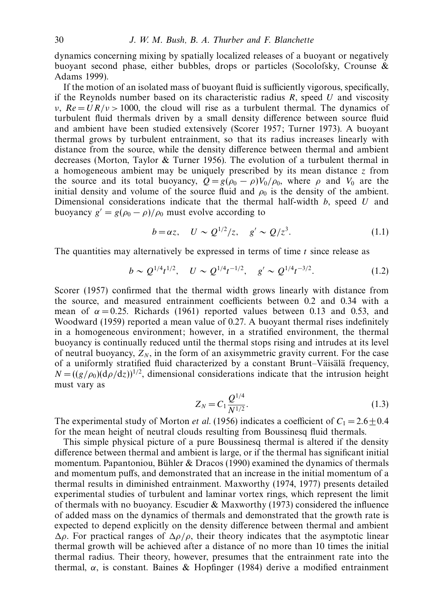dynamics concerning mixing by spatially localized releases of a buoyant or negatively buoyant second phase, either bubbles, drops or particles (Socolofsky, Crounse & Adams 1999).

If the motion of an isolated mass of buoyant fluid is sufficiently vigorous, specifically, if the Reynolds number based on its characteristic radius *R*, speed *U* and viscosity *ν*,  $Re = U R/v > 1000$ , the cloud will rise as a turbulent thermal. The dynamics of turbulent fluid thermals driven by a small density difference between source fluid and ambient have been studied extensively (Scorer 1957; Turner 1973). A buoyant thermal grows by turbulent entrainment, so that its radius increases linearly with distance from the source, while the density difference between thermal and ambient decreases (Morton, Taylor & Turner 1956). The evolution of a turbulent thermal in a homogeneous ambient may be uniquely prescribed by its mean distance *z* from the source and its total buoyancy,  $Q = g(\rho_0 - \rho)V_0/\rho_0$ , where  $\rho$  and  $V_0$  are the initial density and volume of the source fluid and  $\rho_0$  is the density of the ambient. Dimensional considerations indicate that the thermal half-width *b*, speed *U* and buoyancy  $g' = g(\rho_0 - \rho)/\rho_0$  must evolve according to

$$
b = \alpha z, \quad U \sim Q^{1/2}/z, \quad g' \sim Q/z^3.
$$
 (1.1)

The quantities may alternatively be expressed in terms of time *t* since release as

$$
b \sim Q^{1/4} t^{1/2}, \quad U \sim Q^{1/4} t^{-1/2}, \quad g' \sim Q^{1/4} t^{-3/2}.
$$
 (1.2)

Scorer (1957) confirmed that the thermal width grows linearly with distance from the source, and measured entrainment coefficients between 0.2 and 0.34 with a mean of  $\alpha = 0.25$ . Richards (1961) reported values between 0.13 and 0.53, and Woodward (1959) reported a mean value of 0.27. A buoyant thermal rises indefinitely in a homogeneous environment; however, in a stratified environment, the thermal buoyancy is continually reduced until the thermal stops rising and intrudes at its level of neutral buoyancy,  $Z_N$ , in the form of an axisymmetric gravity current. For the case of a uniformly stratified fluid characterized by a constant Brunt–Väisälä frequency,  $N = ((g/\rho_0)(d\rho/dz))^{1/2}$ , dimensional considerations indicate that the intrusion height must vary as

$$
Z_N = C_1 \frac{Q^{1/4}}{N^{1/2}}.\tag{1.3}
$$

The experimental study of Morton *et al.* (1956) indicates a coefficient of  $C_1 = 2.6 \pm 0.4$ for the mean height of neutral clouds resulting from Boussinesq fluid thermals.

This simple physical picture of a pure Boussinesq thermal is altered if the density difference between thermal and ambient is large, or if the thermal has significant initial momentum. Papantoniou, Bühler & Dracos (1990) examined the dynamics of thermals and momentum puffs, and demonstrated that an increase in the initial momentum of a thermal results in diminished entrainment. Maxworthy (1974, 1977) presents detailed experimental studies of turbulent and laminar vortex rings, which represent the limit of thermals with no buoyancy. Escudier  $&$  Maxworthy (1973) considered the influence of added mass on the dynamics of thermals and demonstrated that the growth rate is expected to depend explicitly on the density difference between thermal and ambient  $Δρ$ . For practical ranges of  $Δρ/ρ$ , their theory indicates that the asymptotic linear thermal growth will be achieved after a distance of no more than 10 times the initial thermal radius. Their theory, however, presumes that the entrainment rate into the thermal, *α*, is constant. Baines & Hopfinger (1984) derive a modified entrainment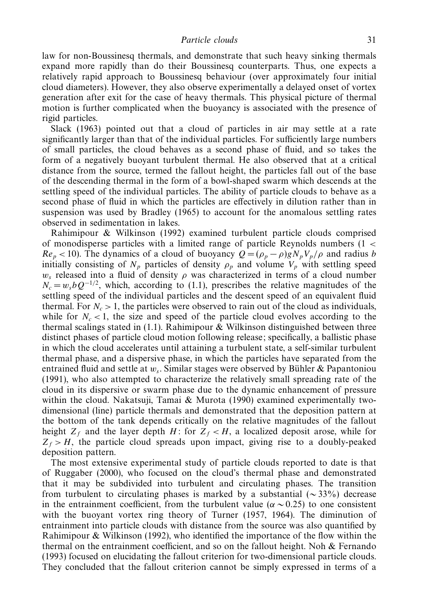law for non-Boussinesq thermals, and demonstrate that such heavy sinking thermals expand more rapidly than do their Boussinesq counterparts. Thus, one expects a relatively rapid approach to Boussinesq behaviour (over approximately four initial cloud diameters). However, they also observe experimentally a delayed onset of vortex generation after exit for the case of heavy thermals. This physical picture of thermal motion is further complicated when the buoyancy is associated with the presence of rigid particles.

Slack (1963) pointed out that a cloud of particles in air may settle at a rate significantly larger than that of the individual particles. For sufficiently large numbers of small particles, the cloud behaves as a second phase of fluid, and so takes the form of a negatively buoyant turbulent thermal. He also observed that at a critical distance from the source, termed the fallout height, the particles fall out of the base of the descending thermal in the form of a bowl-shaped swarm which descends at the settling speed of the individual particles. The ability of particle clouds to behave as a second phase of fluid in which the particles are effectively in dilution rather than in suspension was used by Bradley (1965) to account for the anomalous settling rates observed in sedimentation in lakes.

Rahimipour & Wilkinson (1992) examined turbulent particle clouds comprised of monodisperse particles with a limited range of particle Reynolds numbers (1 *<*  $Re_p < 10$ ). The dynamics of a cloud of buoyancy  $Q = (\rho_p - \rho)gN_pV_p/\rho$  and radius *b* initially consisting of  $N_p$  particles of density  $\rho_p$  and volume  $V_p$  with settling speed  $w_s$  released into a fluid of density  $\rho$  was characterized in terms of a cloud number  $N_c = w_s bQ^{-1/2}$ , which, according to (1.1), prescribes the relative magnitudes of the settling speed of the individual particles and the descent speed of an equivalent fluid thermal. For  $N_c > 1$ , the particles were observed to rain out of the cloud as individuals, while for  $N_c < 1$ , the size and speed of the particle cloud evolves according to the thermal scalings stated in  $(1.1)$ . Rahimipour & Wilkinson distinguished between three distinct phases of particle cloud motion following release; specifically, a ballistic phase in which the cloud accelerates until attaining a turbulent state, a self-similar turbulent thermal phase, and a dispersive phase, in which the particles have separated from the entrained fluid and settle at  $w_s$ . Similar stages were observed by Bühler & Papantoniou (1991), who also attempted to characterize the relatively small spreading rate of the cloud in its dispersive or swarm phase due to the dynamic enhancement of pressure within the cloud. Nakatsuji, Tamai & Murota (1990) examined experimentally twodimensional (line) particle thermals and demonstrated that the deposition pattern at the bottom of the tank depends critically on the relative magnitudes of the fallout height  $Z_f$  and the layer depth *H*: for  $Z_f < H$ , a localized deposit arose, while for  $Z_f > H$ , the particle cloud spreads upon impact, giving rise to a doubly-peaked deposition pattern.

The most extensive experimental study of particle clouds reported to date is that of Ruggaber (2000), who focused on the cloud's thermal phase and demonstrated that it may be subdivided into turbulent and circulating phases. The transition from turbulent to circulating phases is marked by a substantial ( $\sim$ 33%) decrease in the entrainment coefficient, from the turbulent value ( $\alpha \sim 0.25$ ) to one consistent with the buoyant vortex ring theory of Turner (1957, 1964). The diminution of entrainment into particle clouds with distance from the source was also quantified by Rahimipour & Wilkinson (1992), who identified the importance of the flow within the thermal on the entrainment coefficient, and so on the fallout height. Noh  $\&$  Fernando (1993) focused on elucidating the fallout criterion for two-dimensional particle clouds. They concluded that the fallout criterion cannot be simply expressed in terms of a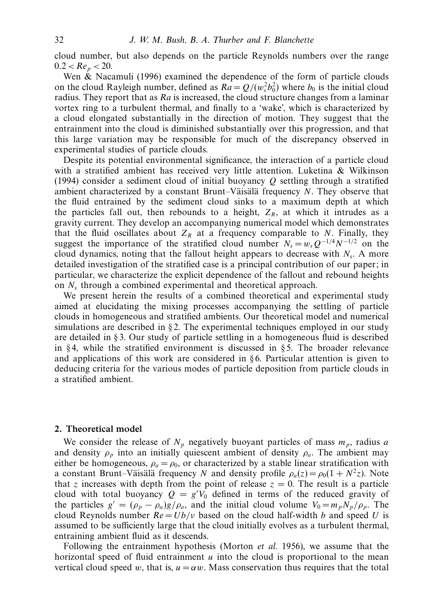cloud number, but also depends on the particle Reynolds numbers over the range  $0.2 < Re_p < 20.$ 

Wen  $\&$  Nacamuli (1996) examined the dependence of the form of particle clouds on the cloud Rayleigh number, defined as  $Ra = Q/(w_s^2 b_0^2)$  where  $b_0$  is the initial cloud radius. They report that as  $Ra$  is increased, the cloud structure changes from a laminar vortex ring to a turbulent thermal, and finally to a 'wake', which is characterized by a cloud elongated substantially in the direction of motion. They suggest that the entrainment into the cloud is diminished substantially over this progression, and that this large variation may be responsible for much of the discrepancy observed in experimental studies of particle clouds.

Despite its potential environmental significance, the interaction of a particle cloud with a stratified ambient has received very little attention. Luketina & Wilkinson (1994) consider a sediment cloud of initial buoyancy *Q* settling through a stratified ambient characterized by a constant Brunt–Väisälä frequency *N*. They observe that the fluid entrained by the sediment cloud sinks to a maximum depth at which the particles fall out, then rebounds to a height,  $Z_R$ , at which it intrudes as a gravity current. They develop an accompanying numerical model which demonstrates that the fluid oscillates about  $Z_R$  at a frequency comparable to *N*. Finally, they suggest the importance of the stratified cloud number  $N_s = w_s Q^{-1/4} N^{-1/2}$  on the cloud dynamics, noting that the fallout height appears to decrease with  $N_s$ . A more detailed investigation of the stratified case is a principal contribution of our paper; in particular, we characterize the explicit dependence of the fallout and rebound heights on *Ns* through a combined experimental and theoretical approach.

We present herein the results of a combined theoretical and experimental study aimed at elucidating the mixing processes accompanying the settling of particle clouds in homogeneous and stratified ambients. Our theoretical model and numerical simulations are described in  $\S 2$ . The experimental techniques employed in our study are detailed in § 3. Our study of particle settling in a homogeneous fluid is described in §4, while the stratified environment is discussed in §5. The broader relevance and applications of this work are considered in  $§ 6$ . Particular attention is given to deducing criteria for the various modes of particle deposition from particle clouds in a stratified ambient.

#### *2. Theoretical model*

We consider the release of  $N_p$  negatively buoyant particles of mass  $m_p$ , radius *a* and density  $\rho_p$  into an initially quiescent ambient of density  $\rho_q$ . The ambient may either be homogeneous,  $\rho_a = \rho_0$ , or characterized by a stable linear stratification with a constant Brunt–Väisälä frequency *N* and density profile  $\rho_a(z) = \rho_0(1 + N^2 z)$ . Note that *z* increases with depth from the point of release  $z = 0$ . The result is a particle cloud with total buoyancy  $Q = g'V_0$  defined in terms of the reduced gravity of the particles  $g' = (\rho_p - \rho_a)g/\rho_a$ , and the initial cloud volume  $V_0 = m_p N_p/\rho_p$ . The cloud Reynolds number  $Re = Ub/v$  based on the cloud half-width *b* and speed *U* is assumed to be sufficiently large that the cloud initially evolves as a turbulent thermal, entraining ambient fluid as it descends.

Following the entrainment hypothesis (Morton *et al.* 1956), we assume that the horizontal speed of fluid entrainment *u* into the cloud is proportional to the mean vertical cloud speed *w*, that is,  $u = \alpha w$ . Mass conservation thus requires that the total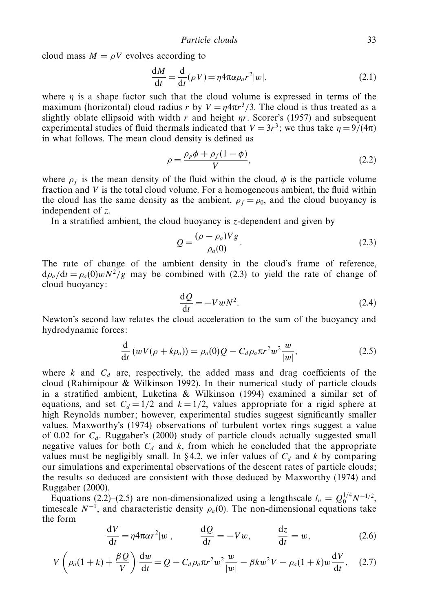cloud mass  $M = \rho V$  evolves according to

$$
\frac{dM}{dt} = \frac{d}{dt}(\rho V) = \eta 4\pi \alpha \rho_a r^2 |w|,
$$
\n(2.1)

where  $\eta$  is a shape factor such that the cloud volume is expressed in terms of the maximum (horizontal) cloud radius *r* by  $V = n4\pi r^3/3$ . The cloud is thus treated as a slightly oblate ellipsoid with width *r* and height *ηr*. Scorer's (1957) and subsequent experimental studies of fluid thermals indicated that  $V = 3r^3$ ; we thus take  $\eta = 9/(4\pi)$ in what follows. The mean cloud density is defined as

$$
\rho = \frac{\rho_p \phi + \rho_f (1 - \phi)}{V},\tag{2.2}
$$

where  $\rho_f$  is the mean density of the fluid within the cloud,  $\phi$  is the particle volume fraction and *V* is the total cloud volume. For a homogeneous ambient, the fluid within the cloud has the same density as the ambient,  $\rho_f = \rho_0$ , and the cloud buoyancy is independent of *z*.

In a stratified ambient, the cloud buoyancy is *z*-dependent and given by

$$
Q = \frac{(\rho - \rho_a)Vg}{\rho_a(0)}.
$$
\n(2.3)

The rate of change of the ambient density in the cloud's frame of reference,  $d\rho_a/dt = \rho_a(0) w N^2/g$  may be combined with (2.3) to yield the rate of change of cloud buoyancy:

$$
\frac{\mathrm{d}Q}{\mathrm{d}t} = -VwN^2.\tag{2.4}
$$

Newton's second law relates the cloud acceleration to the sum of the buoyancy and hydrodynamic forces:

$$
\frac{\mathrm{d}}{\mathrm{d}t}\left(wV(\rho+k\rho_a)\right) = \rho_a(0)Q - C_d\rho_a\pi r^2w^2\frac{w}{|w|},\tag{2.5}
$$

where  $k$  and  $C_d$  are, respectively, the added mass and drag coefficients of the cloud (Rahimipour & Wilkinson 1992). In their numerical study of particle clouds in a stratified ambient, Luketina & Wilkinson (1994) examined a similar set of equations, and set  $C_d = 1/2$  and  $k = 1/2$ , values appropriate for a rigid sphere at high Reynolds number; however, experimental studies suggest significantly smaller values. Maxworthy's (1974) observations of turbulent vortex rings suggest a value of 0.02 for  $C_d$ . Ruggaber's (2000) study of particle clouds actually suggested small negative values for both  $C_d$  and k, from which he concluded that the appropriate values must be negligibly small. In §4.2, we infer values of  $C_d$  and k by comparing our simulations and experimental observations of the descent rates of particle clouds; the results so deduced are consistent with those deduced by Maxworthy (1974) and Ruggaber (2000).

Equations (2.2)–(2.5) are non-dimensionalized using a lengthscale  $l_n = Q_0^{1/4} N^{-1/2}$ , timescale  $N^{-1}$ , and characteristic density  $\rho_a(0)$ . The non-dimensional equations take the form

$$
\frac{dV}{dt} = \eta 4\pi \alpha r^2 |w|, \qquad \frac{dQ}{dt} = -Vw, \qquad \frac{dz}{dt} = w,
$$
 (2.6)

$$
V\left(\rho_a(1+k)+\frac{\beta Q}{V}\right)\frac{\mathrm{d}w}{\mathrm{d}t}=Q-C_d\rho_a\pi r^2w^2\frac{w}{|w|}-\beta kw^2V-\rho_a(1+k)w\frac{\mathrm{d}V}{\mathrm{d}t},\quad(2.7)
$$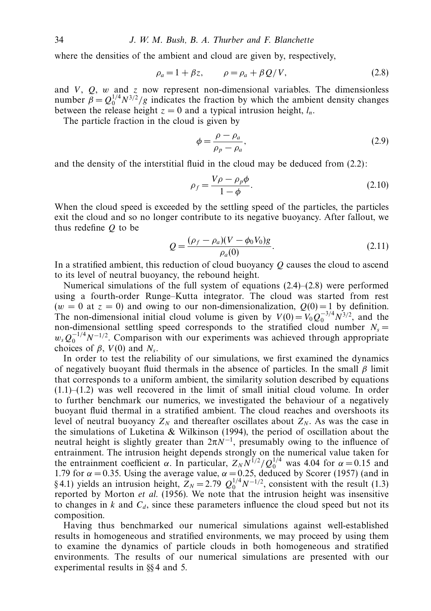where the densities of the ambient and cloud are given by, respectively,

$$
\rho_a = 1 + \beta z, \qquad \rho = \rho_a + \beta Q/V, \tag{2.8}
$$

and  $V$ ,  $Q$ ,  $w$  and  $z$  now represent non-dimensional variables. The dimensionless number  $\hat{\beta} = Q_0^{1/4} N^{3/2}/g$  indicates the fraction by which the ambient density changes between the release height  $z = 0$  and a typical intrusion height,  $l_n$ .

The particle fraction in the cloud is given by

$$
\phi = \frac{\rho - \rho_a}{\rho_p - \rho_a},\tag{2.9}
$$

and the density of the interstitial fluid in the cloud may be deduced from (2.2):

$$
\rho_f = \frac{V\rho - \rho_p \phi}{1 - \phi}.
$$
\n(2.10)

When the cloud speed is exceeded by the settling speed of the particles, the particles exit the cloud and so no longer contribute to its negative buoyancy. After fallout, we thus redefine *Q* to be

$$
Q = \frac{(\rho_f - \rho_a)(V - \phi_0 V_0)g}{\rho_a(0)}.
$$
\n(2.11)

In a stratified ambient, this reduction of cloud buoyancy *Q* causes the cloud to ascend to its level of neutral buoyancy, the rebound height.

Numerical simulations of the full system of equations  $(2.4)$ – $(2.8)$  were performed using a fourth-order Runge–Kutta integrator. The cloud was started from rest  $(w = 0$  at  $z = 0)$  and owing to our non-dimensionalization,  $Q(0) = 1$  by definition. The non-dimensional initial cloud volume is given by  $V(0) = V_0 Q_0^{-3/4} N^{3/2}$ , and the non-dimensional settling speed corresponds to the stratified cloud number  $N_s =$  $w_s Q_0^{-1/4} N^{-1/2}$ . Comparison with our experiments was achieved through appropriate choices of  $\beta$ ,  $V(0)$  and  $N_s$ .

In order to test the reliability of our simulations, we first examined the dynamics of negatively buoyant fluid thermals in the absence of particles. In the small *β* limit that corresponds to a uniform ambient, the similarity solution described by equations (1.1)–(1.2) was well recovered in the limit of small initial cloud volume. In order to further benchmark our numerics, we investigated the behaviour of a negatively buoyant fluid thermal in a stratified ambient. The cloud reaches and overshoots its level of neutral buoyancy  $Z_N$  and thereafter oscillates about  $Z_N$ . As was the case in the simulations of Luketina & Wilkinson (1994), the period of oscillation about the neutral height is slightly greater than  $2\pi N^{-1}$ , presumably owing to the influence of entrainment. The intrusion height depends strongly on the numerical value taken for the entrainment coefficient  $\alpha$ . In particular,  $Z_N N^{1/2} / Q_0^{1/4}$  was 4.04 for  $\alpha = 0.15$  and 1.79 for  $\alpha$  = 0.35. Using the average value,  $\alpha$  = 0.25, deduced by Scorer (1957) (and in §4.1) yields an intrusion height,  $Z_N = 2.79 \frac{Q_0^{1/4} N^{-1/2}}{N}$ , consistent with the result (1.3) reported by Morton et al. (1956). We note that the intrusion height was insensitive to changes in  $k$  and  $C_d$ , since these parameters influence the cloud speed but not its composition.

Having thus benchmarked our numerical simulations against well-established results in homogeneous and stratified environments, we may proceed by using them to examine the dynamics of particle clouds in both homogeneous and stratified environments. The results of our numerical simulations are presented with our experimental results in §§ 4 and 5.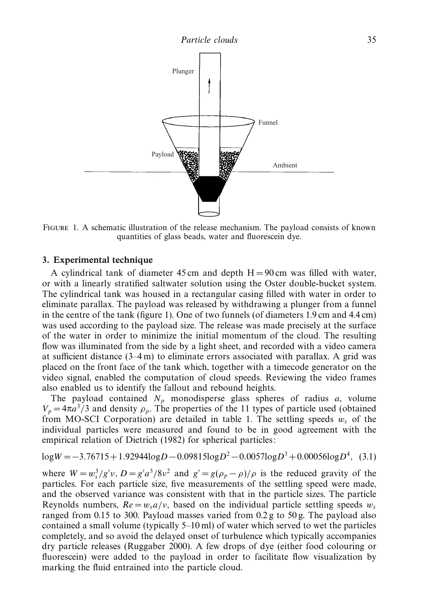

Figure 1. A schematic illustration of the release mechanism. The payload consists of known quantities of glass beads, water and fluorescein dye.

#### *3. Experimental technique*

A cylindrical tank of diameter 45 cm and depth  $H = 90$  cm was filled with water, or with a linearly stratified saltwater solution using the Oster double-bucket system. The cylindrical tank was housed in a rectangular casing filled with water in order to eliminate parallax. The payload was released by withdrawing a plunger from a funnel in the centre of the tank (figure 1). One of two funnels (of diameters 1.9 cm and 4.4 cm) was used according to the payload size. The release was made precisely at the surface of the water in order to minimize the initial momentum of the cloud. The resulting flow was illuminated from the side by a light sheet, and recorded with a video camera at sufficient distance  $(3-4 \text{ m})$  to eliminate errors associated with parallax. A grid was placed on the front face of the tank which, together with a timecode generator on the video signal, enabled the computation of cloud speeds. Reviewing the video frames also enabled us to identify the fallout and rebound heights.

The payload contained  $N_p$  monodisperse glass spheres of radius  $a$ , volume  $V_p = 4\pi a^3/3$  and density  $\rho_p$ . The properties of the 11 types of particle used (obtained from MO-SCI Corporation) are detailed in table 1. The settling speeds  $w_s$  of the individual particles were measured and found to be in good agreement with the empirical relation of Dietrich (1982) for spherical particles:

log*<sup>W</sup>* <sup>=</sup>−3*.*76715+ 1*.*92944log*<sup>D</sup>* <sup>−</sup>0*.*09815log*D*<sup>2</sup> <sup>−</sup>0*.*0057log*D*<sup>3</sup> + 0*.*00056log*D*<sup>4</sup> *,* (3.1)

where  $W = w_s^3/g'v$ ,  $D = g'a^3/8v^2$  and  $g' = g(\rho_p - \rho)/\rho$  is the reduced gravity of the particles. For each particle size, five measurements of the settling speed were made, and the observed variance was consistent with that in the particle sizes. The particle Reynolds numbers,  $Re = w_s a/v$ , based on the individual particle settling speeds  $w_s$ ranged from 0.15 to 300. Payload masses varied from 0.2 g to 50 g. The payload also contained a small volume (typically 5–10 ml) of water which served to wet the particles completely, and so avoid the delayed onset of turbulence which typically accompanies dry particle releases (Ruggaber 2000). A few drops of dye (either food colouring or fluorescein) were added to the payload in order to facilitate flow visualization by marking the fluid entrained into the particle cloud.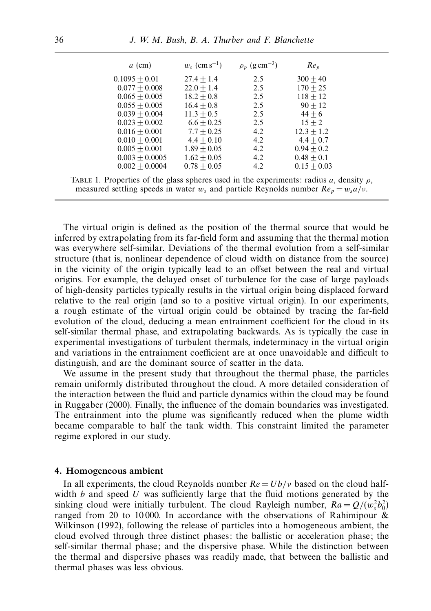| $a$ (cm)         | $w_s$ (cm s <sup>-1</sup> ) | $\rho_p$ (g cm <sup>-3</sup> ) | Re <sub>p</sub> |
|------------------|-----------------------------|--------------------------------|-----------------|
| $0.1095 + 0.01$  | $27.4 + 1.4$                | 2.5                            | $300 + 40$      |
| $0.077 + 0.008$  | $22.0 + 1.4$                | 2.5                            | $170 + 25$      |
| $0.065 + 0.005$  | $18.2 + 0.8$                | 2.5                            | $118 + 12$      |
| $0.055 + 0.005$  | $16.4 + 0.8$                | 2.5                            | $90 + 12$       |
| $0.039 + 0.004$  | $11.3 + 0.5$                | 2.5                            | $44 + 6$        |
| $0.023 + 0.002$  | $6.6 + 0.25$                | 2.5                            | $15 + 2$        |
| $0.016 + 0.001$  | $7.7 + 0.25$                | 4.2                            | $12.3 + 1.2$    |
| $0.010 + 0.001$  | $4.4 + 0.10$                | 4.2                            | $4.4 + 0.7$     |
| $0.005 + 0.001$  | $1.89 + 0.05$               | 4.2                            | $0.94 + 0.2$    |
| $0.003 + 0.0005$ | $1.62 + 0.05$               | 4.2                            | $0.48 + 0.1$    |
| $0.002 + 0.0004$ | $0.78 + 0.05$               | 4.2                            | $0.15 + 0.03$   |

TABLE 1. Properties of the glass spheres used in the experiments: radius *a*, density  $\rho$ , measured settling speeds in water  $w_s$  and particle Reynolds number  $Re_p = w_s a/v$ .

The virtual origin is defined as the position of the thermal source that would be inferred by extrapolating from its far-field form and assuming that the thermal motion was everywhere self-similar. Deviations of the thermal evolution from a self-similar structure (that is, nonlinear dependence of cloud width on distance from the source) in the vicinity of the origin typically lead to an offset between the real and virtual origins. For example, the delayed onset of turbulence for the case of large payloads of high-density particles typically results in the virtual origin being displaced forward relative to the real origin (and so to a positive virtual origin). In our experiments, a rough estimate of the virtual origin could be obtained by tracing the far-field evolution of the cloud, deducing a mean entrainment coefficient for the cloud in its self-similar thermal phase, and extrapolating backwards. As is typically the case in experimental investigations of turbulent thermals, indeterminacy in the virtual origin and variations in the entrainment coefficient are at once unavoidable and difficult to distinguish, and are the dominant source of scatter in the data.

We assume in the present study that throughout the thermal phase, the particles remain uniformly distributed throughout the cloud. A more detailed consideration of the interaction between the fluid and particle dynamics within the cloud may be found in Ruggaber (2000). Finally, the influence of the domain boundaries was investigated. The entrainment into the plume was significantly reduced when the plume width became comparable to half the tank width. This constraint limited the parameter regime explored in our study.

#### *4. Homogeneous ambient*

In all experiments, the cloud Reynolds number  $Re = Ub/v$  based on the cloud halfwidth *b* and speed *U* was sufficiently large that the fluid motions generated by the sinking cloud were initially turbulent. The cloud Rayleigh number,  $Ra = Q/(w_s^2 b_0^2)$ ranged from 20 to 10 000. In accordance with the observations of Rahimipour & Wilkinson (1992), following the release of particles into a homogeneous ambient, the cloud evolved through three distinct phases: the ballistic or acceleration phase; the self-similar thermal phase; and the dispersive phase. While the distinction between the thermal and dispersive phases was readily made, that between the ballistic and thermal phases was less obvious.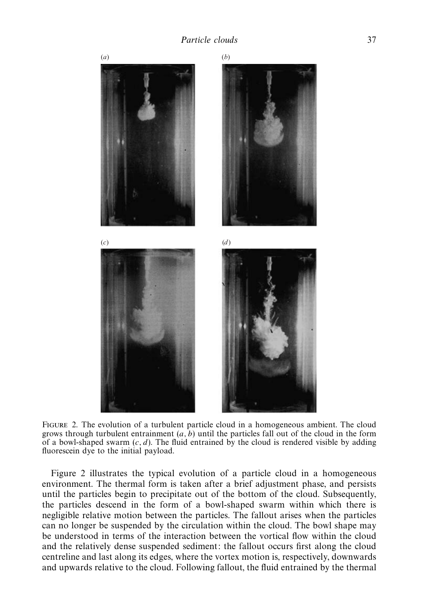

Figure 2. The evolution of a turbulent particle cloud in a homogeneous ambient. The cloud grows through turbulent entrainment  $(a, b)$  until the particles fall out of the cloud in the form of a bowl-shaped swarm (*c, d*). The fluid entrained by the cloud is rendered visible by adding fluorescein dye to the initial payload.

Figure 2 illustrates the typical evolution of a particle cloud in a homogeneous environment. The thermal form is taken after a brief adjustment phase, and persists until the particles begin to precipitate out of the bottom of the cloud. Subsequently, the particles descend in the form of a bowl-shaped swarm within which there is negligible relative motion between the particles. The fallout arises when the particles can no longer be suspended by the circulation within the cloud. The bowl shape may be understood in terms of the interaction between the vortical flow within the cloud and the relatively dense suspended sediment: the fallout occurs first along the cloud centreline and last along its edges, where the vortex motion is, respectively, downwards and upwards relative to the cloud. Following fallout, the fluid entrained by the thermal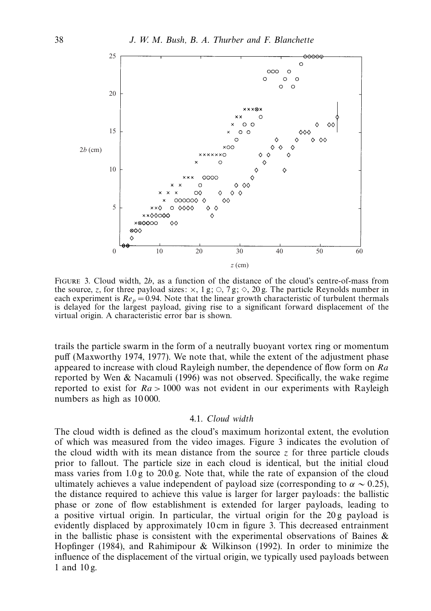

FIGURE 3. Cloud width, 2*b*, as a function of the distance of the cloud's centre-of-mass from the source, *z*, for three payload sizes:  $\times$ , 1 g;  $\circ$ , 7 g;  $\circ$ , 20 g. The particle Reynolds number in each experiment is  $Re_p = 0.94$ . Note that the linear growth characteristic of turbulent thermals is delayed for the largest payload, giving rise to a significant forward displacement of the virtual origin. A characteristic error bar is shown.

trails the particle swarm in the form of a neutrally buoyant vortex ring or momentum puff (Maxworthy 1974, 1977). We note that, while the extent of the adjustment phase appeared to increase with cloud Rayleigh number, the dependence of flow form on *Ra* reported by Wen & Nacamuli (1996) was not observed. Specifically, the wake regime reported to exist for *Ra >* 1000 was not evident in our experiments with Rayleigh numbers as high as 10 000.

# 4.1. Cloud width

The cloud width is defined as the cloud's maximum horizontal extent, the evolution of which was measured from the video images. Figure 3 indicates the evolution of the cloud width with its mean distance from the source  $\zeta$  for three particle clouds prior to fallout. The particle size in each cloud is identical, but the initial cloud mass varies from 1.0 g to 20.0 g. Note that, while the rate of expansion of the cloud ultimately achieves a value independent of payload size (corresponding to  $\alpha \sim 0.25$ ), the distance required to achieve this value is larger for larger payloads: the ballistic phase or zone of flow establishment is extended for larger payloads, leading to a positive virtual origin. In particular, the virtual origin for the  $20g$  payload is evidently displaced by approximately 10 cm in figure 3. This decreased entrainment in the ballistic phase is consistent with the experimental observations of Baines  $\&$ Hopfinger (1984), and Rahimipour & Wilkinson (1992). In order to minimize the influence of the displacement of the virtual origin, we typically used payloads between 1 and 10 g.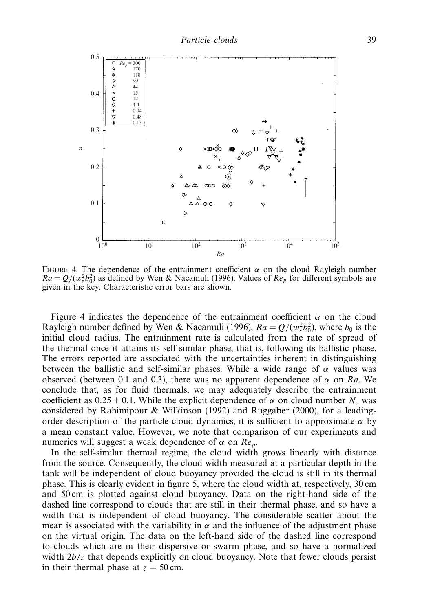

FIGURE 4. The dependence of the entrainment coefficient  $\alpha$  on the cloud Rayleigh number  $Ra = Q/(w_s^2 b_0^2)$  as defined by Wen & Nacamuli (1996). Values of  $Re_p$  for different symbols are given in the key. Characteristic error bars are shown.

Figure 4 indicates the dependence of the entrainment coefficient  $\alpha$  on the cloud Rayleigh number defined by Wen & Nacamuli (1996),  $Ra = Q/(w_s^2 b_0^2)$ , where  $b_0$  is the initial cloud radius. The entrainment rate is calculated from the rate of spread of the thermal once it attains its self-similar phase, that is, following its ballistic phase. The errors reported are associated with the uncertainties inherent in distinguishing between the ballistic and self-similar phases. While a wide range of  $\alpha$  values was observed (between 0.1 and 0.3), there was no apparent dependence of  $\alpha$  on Ra. We conclude that, as for fluid thermals, we may adequately describe the entrainment coefficient as  $0.25 \pm 0.1$ . While the explicit dependence of  $\alpha$  on cloud number  $N_c$  was considered by Rahimipour & Wilkinson (1992) and Ruggaber (2000), for a leadingorder description of the particle cloud dynamics, it is sufficient to approximate  $\alpha$  by a mean constant value. However, we note that comparison of our experiments and numerics will suggest a weak dependence of *α* on Re*p*.

In the self-similar thermal regime, the cloud width grows linearly with distance from the source. Consequently, the cloud width measured at a particular depth in the tank will be independent of cloud buoyancy provided the cloud is still in its thermal phase. This is clearly evident in figure 5, where the cloud width at, respectively, 30 cm and 50 cm is plotted against cloud buoyancy. Data on the right-hand side of the dashed line correspond to clouds that are still in their thermal phase, and so have a width that is independent of cloud buoyancy. The considerable scatter about the mean is associated with the variability in  $\alpha$  and the influence of the adjustment phase on the virtual origin. The data on the left-hand side of the dashed line correspond to clouds which are in their dispersive or swarm phase, and so have a normalized width  $2b/z$  that depends explicitly on cloud buoyancy. Note that fewer clouds persist in their thermal phase at  $z = 50$  cm.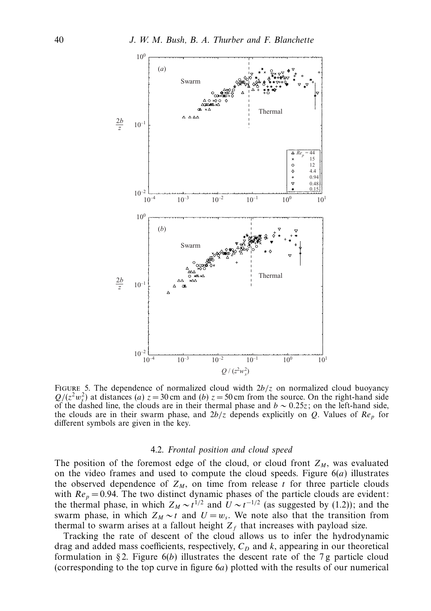

Figure 5. The dependence of normalized cloud width 2*b/z* on normalized cloud buoyancy  $Q/(z^2w_s^2)$  at distances (*a*)  $z = 30$  cm and (*b*)  $z = 50$  cm from the source. On the right-hand side of the dashed line, the clouds are in their thermal phase and *b* ∼ 0*.*25*z*; on the left-hand side, the clouds are in their swarm phase, and 2*b/z* depends explicitly on *Q*. Values of Re*<sup>p</sup>* for different symbols are given in the key.

#### 4.2. Frontal position and cloud speed

The position of the foremost edge of the cloud, or cloud front  $Z_M$ , was evaluated on the video frames and used to compute the cloud speeds. Figure 6(*a*) illustrates the observed dependence of  $Z_M$ , on time from release *t* for three particle clouds with  $Re_p = 0.94$ . The two distinct dynamic phases of the particle clouds are evident: the thermal phase, in which  $Z_M \sim t^{1/2}$  and  $U \sim t^{-1/2}$  (as suggested by (1.2)); and the swarm phase, in which  $Z_M \sim t$  and  $U = w_s$ . We note also that the transition from thermal to swarm arises at a fallout height  $Z_f$  that increases with payload size.

Tracking the rate of descent of the cloud allows us to infer the hydrodynamic drag and added mass coefficients, respectively,  $C<sub>D</sub>$  and  $k$ , appearing in our theoretical formulation in § 2. Figure 6(*b*) illustrates the descent rate of the 7 g particle cloud (corresponding to the top curve in figure 6*a*) plotted with the results of our numerical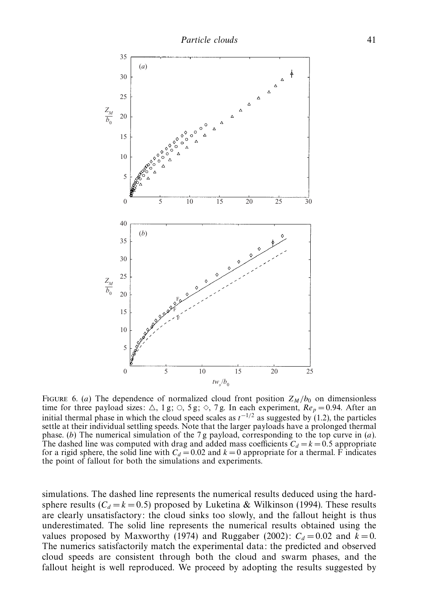

FIGURE 6. (*a*) The dependence of normalized cloud front position  $Z_M/b_0$  on dimensionless time for three payload sizes:  $\triangle$ , 1 g;  $\heartsuit$ , 5 g;  $\diamond$ , 7 g. In each experiment,  $Re_p = 0.94$ . After an initial thermal phase in which the cloud speed scales as  $t^{-1/2}$  as suggested by (1.2), the particles settle at their individual settling speeds. Note that the larger payloads have a prolonged thermal phase. (*b*) The numerical simulation of the 7 g payload, corresponding to the top curve in (*a*). The dashed line was computed with drag and added mass coefficients  $C_d = k = 0.5$  appropriate for a rigid sphere, the solid line with  $C_d = 0.02$  and  $k = 0$  appropriate for a thermal. F indicates the point of fallout for both the simulations and experiments.

simulations. The dashed line represents the numerical results deduced using the hardsphere results ( $C_d = k = 0.5$ ) proposed by Luketina & Wilkinson (1994). These results are clearly unsatisfactory: the cloud sinks too slowly, and the fallout height is thus underestimated. The solid line represents the numerical results obtained using the values proposed by Maxworthy (1974) and Ruggaber (2002):  $C_d = 0.02$  and  $k = 0$ . The numerics satisfactorily match the experimental data: the predicted and observed cloud speeds are consistent through both the cloud and swarm phases, and the fallout height is well reproduced. We proceed by adopting the results suggested by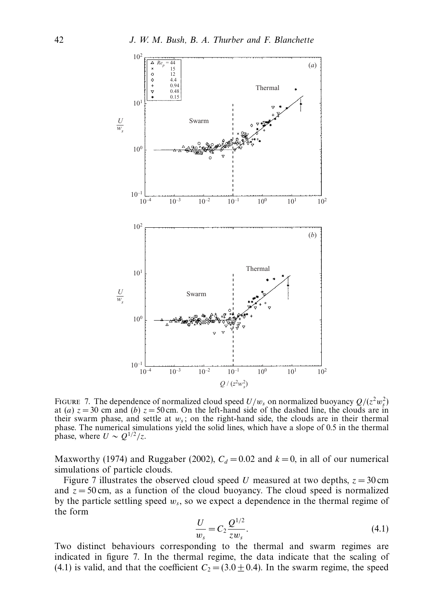

FIGURE 7. The dependence of normalized cloud speed  $U/w_s$  on normalized buoyancy  $Q/(z^2w_s^2)$ at (*a*)  $z = 30$  cm and (*b*)  $z = 50$  cm. On the left-hand side of the dashed line, the clouds are in their swarm phase, and settle at  $w_s$ ; on the right-hand side, the clouds are in their thermal phase. The numerical simulations yield the solid lines, which have a slope of 0.5 in the thermal phase, where  $U \sim Q^{1/2}/z$ .

Maxworthy (1974) and Ruggaber (2002),  $C_d = 0.02$  and  $k = 0$ , in all of our numerical simulations of particle clouds.

Figure 7 illustrates the observed cloud speed *U* measured at two depths,  $z = 30$  cm and  $z = 50$  cm, as a function of the cloud buoyancy. The cloud speed is normalized by the particle settling speed *ws*, so we expect a dependence in the thermal regime of the form

$$
\frac{U}{w_s} = C_2 \frac{Q^{1/2}}{zw_s}.
$$
\n(4.1)

Two distinct behaviours corresponding to the thermal and swarm regimes are indicated in figure 7. In the thermal regime, the data indicate that the scaling of (4.1) is valid, and that the coefficient  $C_2 = (3.0 \pm 0.4)$ . In the swarm regime, the speed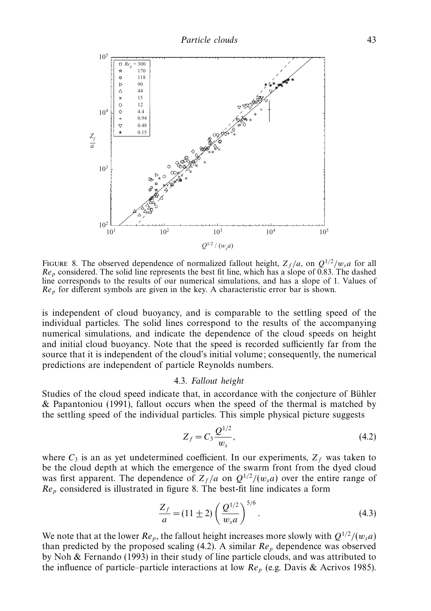

FIGURE 8. The observed dependence of normalized fallout height,  $Z_f/a$ , on  $Q^{1/2}/w_s a$  for all Re*<sup>p</sup>* considered. The solid line represents the best fit line, which has a slope of 0.83. The dashed line corresponds to the results of our numerical simulations, and has a slope of 1. Values of Re*<sup>p</sup>* for different symbols are given in the key. A characteristic error bar is shown.

is independent of cloud buoyancy, and is comparable to the settling speed of the individual particles. The solid lines correspond to the results of the accompanying numerical simulations, and indicate the dependence of the cloud speeds on height and initial cloud buoyancy. Note that the speed is recorded sufficiently far from the source that it is independent of the cloud's initial volume; consequently, the numerical predictions are independent of particle Reynolds numbers.

#### 4.3. Fallout height

Studies of the cloud speed indicate that, in accordance with the conjecture of Bühler & Papantoniou (1991), fallout occurs when the speed of the thermal is matched by the settling speed of the individual particles. This simple physical picture suggests

$$
Z_f = C_3 \frac{Q^{1/2}}{w_s},\tag{4.2}
$$

where  $C_3$  is an as yet undetermined coefficient. In our experiments,  $Z_f$  was taken to be the cloud depth at which the emergence of the swarm front from the dyed cloud was first apparent. The dependence of  $Z_f/a$  on  $Q^{1/2}/(w_s a)$  over the entire range of Re*<sup>p</sup>* considered is illustrated in figure 8. The best-fit line indicates a form

$$
\frac{Z_f}{a} = (11 \pm 2) \left( \frac{Q^{1/2}}{w_s a} \right)^{5/6}.
$$
 (4.3)

We note that at the lower  $Re_p$ , the fallout height increases more slowly with  $Q^{1/2}/(w_s a)$ than predicted by the proposed scaling  $(4.2)$ . A similar  $Re<sub>p</sub>$  dependence was observed by Noh & Fernando (1993) in their study of line particle clouds, and was attributed to the influence of particle–particle interactions at low Re*<sup>p</sup>* (e.g. Davis & Acrivos 1985).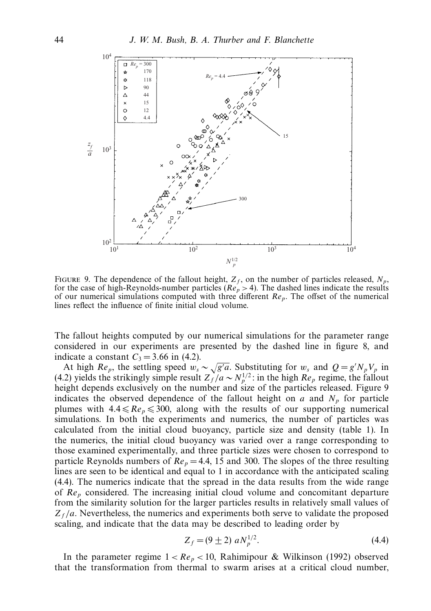

FIGURE 9. The dependence of the fallout height,  $Z_f$ , on the number of particles released,  $N_p$ , for the case of high-Reynolds-number particles ( $Re_p > 4$ ). The dashed lines indicate the results of our numerical simulations computed with three different Re*p*. The offset of the numerical lines reflect the influence of finite initial cloud volume.

The fallout heights computed by our numerical simulations for the parameter range considered in our experiments are presented by the dashed line in figure 8, and indicate a constant  $C_3 = 3.66$  in (4.2).

At high  $Re_p$ , the settling speed  $w_s \sim \sqrt{g'}$ *a*. Substituting for  $w_s$  and  $Q = g' N_p V_p$  in (4.2) yields the strikingly simple result  $Z_f^{\gamma}/a \sim N_p^{1/2}$ : in the high  $Re_p$  regime, the fallout height depends exclusively on the number and size of the particles released. Figure 9 indicates the observed dependence of the fallout height on  $a$  and  $N_p$  for particle plumes with  $4.4 \leq Re_p \leq 300$ , along with the results of our supporting numerical simulations. In both the experiments and numerics, the number of particles was calculated from the initial cloud buoyancy, particle size and density (table 1). In the numerics, the initial cloud buoyancy was varied over a range corresponding to those examined experimentally, and three particle sizes were chosen to correspond to particle Reynolds numbers of  $Re_p = 4.4$ , 15 and 300. The slopes of the three resulting lines are seen to be identical and equal to 1 in accordance with the anticipated scaling (4.4). The numerics indicate that the spread in the data results from the wide range of Re*<sup>p</sup>* considered. The increasing initial cloud volume and concomitant departure from the similarity solution for the larger particles results in relatively small values of  $Z_f/a$ . Nevertheless, the numerics and experiments both serve to validate the proposed scaling, and indicate that the data may be described to leading order by

$$
Z_f = (9 \pm 2) a N_p^{1/2}.
$$
 (4.4)

In the parameter regime  $1 < Re_p < 10$ , Rahimipour & Wilkinson (1992) observed that the transformation from thermal to swarm arises at a critical cloud number,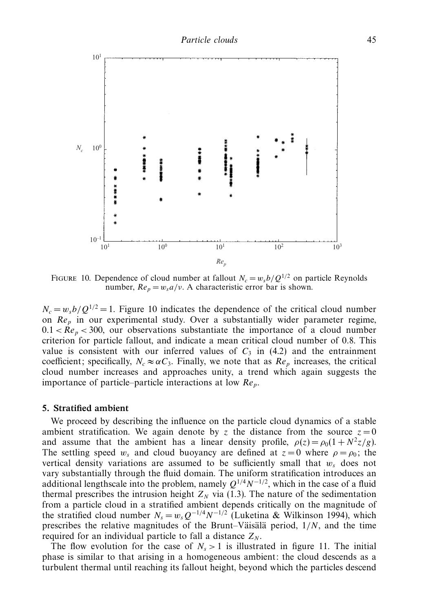

FIGURE 10. Dependence of cloud number at fallout  $N_c = w_s b/Q^{1/2}$  on particle Reynolds number,  $Re_p = w_s a/v$ . A characteristic error bar is shown.

 $N_c = w_s b / Q^{1/2} = 1$ . Figure 10 indicates the dependence of the critical cloud number on Re<sub>p</sub> in our experimental study. Over a substantially wider parameter regime,  $0.1 < Re_p < 300$ , our observations substantiate the importance of a cloud number criterion for particle fallout, and indicate a mean critical cloud number of 0*.*8. This value is consistent with our inferred values of  $C_3$  in (4.2) and the entrainment coefficient; specifically,  $N_c \approx \alpha C_3$ . Finally, we note that as  $Re_p$  increases, the critical cloud number increases and approaches unity, a trend which again suggests the importance of particle–particle interactions at low Re*p*.

#### *5. Stratified ambient*

We proceed by describing the influence on the particle cloud dynamics of a stable ambient stratification. We again denote by *z* the distance from the source  $z = 0$ and assume that the ambient has a linear density profile,  $\rho(z) = \rho_0(1 + N^2 z/g)$ . The settling speed  $w_s$  and cloud buoyancy are defined at  $z = 0$  where  $\rho = \rho_0$ ; the vertical density variations are assumed to be sufficiently small that  $w_s$  does not vary substantially through the fluid domain. The uniform stratification introduces an additional lengthscale into the problem, namely  $Q^{1/4}N^{-1/2}$ , which in the case of a fluid thermal prescribes the intrusion height  $Z_N$  via (1.3). The nature of the sedimentation from a particle cloud in a stratified ambient depends critically on the magnitude of the stratified cloud number  $N_s = w_s Q^{-1/4} N^{-1/2}$  (Luketina & Wilkinson 1994), which prescribes the relative magnitudes of the Brunt–Väisälä period,  $1/N$ , and the time required for an individual particle to fall a distance  $Z_N$ .

The flow evolution for the case of  $N_s > 1$  is illustrated in figure 11. The initial phase is similar to that arising in a homogeneous ambient: the cloud descends as a turbulent thermal until reaching its fallout height, beyond which the particles descend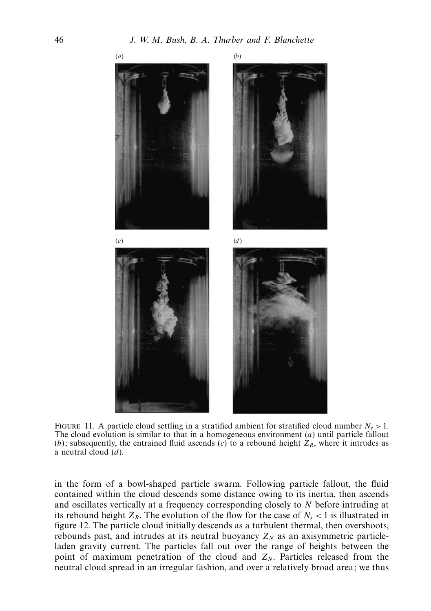

FIGURE 11. A particle cloud settling in a stratified ambient for stratified cloud number  $N_s > 1$ . The cloud evolution is similar to that in a homogeneous environment (*a*) until particle fallout (*b*); subsequently, the entrained fluid ascends (*c*) to a rebound height  $Z_R$ , where it intrudes as a neutral cloud (*d*).

in the form of a bowl-shaped particle swarm. Following particle fallout, the fluid contained within the cloud descends some distance owing to its inertia, then ascends and oscillates vertically at a frequency corresponding closely to *N* before intruding at its rebound height  $Z_R$ . The evolution of the flow for the case of  $N_s < 1$  is illustrated in figure 12. The particle cloud initially descends as a turbulent thermal, then overshoots, rebounds past, and intrudes at its neutral buoyancy  $Z_N$  as an axisymmetric particleladen gravity current. The particles fall out over the range of heights between the point of maximum penetration of the cloud and  $Z_N$ . Particles released from the neutral cloud spread in an irregular fashion, and over a relatively broad area; we thus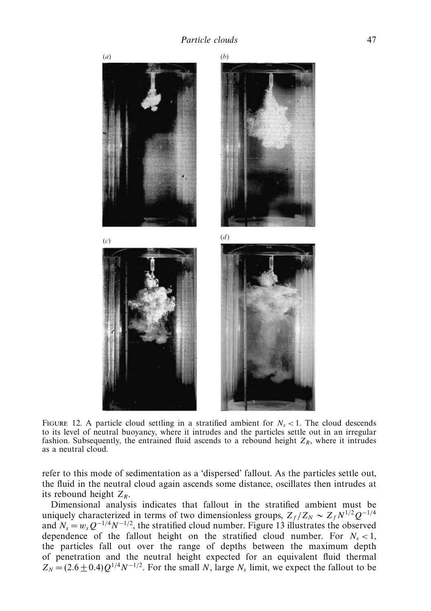

FIGURE 12. A particle cloud settling in a stratified ambient for  $N_s < 1$ . The cloud descends to its level of neutral buoyancy, where it intrudes and the particles settle out in an irregular fashion. Subsequently, the entrained fluid ascends to a rebound height  $Z_R$ , where it intrudes as a neutral cloud.

refer to this mode of sedimentation as a 'dispersed' fallout. As the particles settle out, the fluid in the neutral cloud again ascends some distance, oscillates then intrudes at its rebound height  $Z_R$ .

Dimensional analysis indicates that fallout in the stratified ambient must be uniquely characterized in terms of two dimensionless groups,  $Z_f/Z_N \sim Z_f N^{1/2} Q^{-1/4}$ and  $N_s = w_s Q^{-1/4} N^{-1/2}$ , the stratified cloud number. Figure 13 illustrates the observed dependence of the fallout height on the stratified cloud number. For  $N_s < 1$ , the particles fall out over the range of depths between the maximum depth of penetration and the neutral height expected for an equivalent fluid thermal  $Z_N = (2.6 \pm 0.4)Q^{1/4}N^{-1/2}$ . For the small *N*, large *N<sub>s</sub>* limit, we expect the fallout to be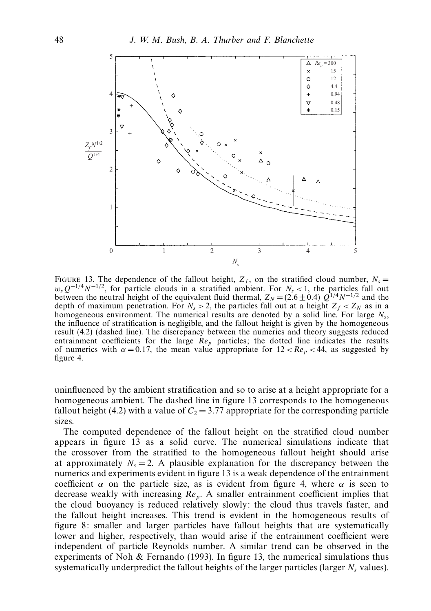

FIGURE 13. The dependence of the fallout height,  $Z_f$ , on the stratified cloud number,  $N_s =$  $w_sQ^{-1/4}N^{-1/2}$ , for particle clouds in a stratified ambient. For  $N_s < 1$ , the particles fall out between the neutral height of the equivalent fluid thermal,  $Z_N = (2.6 \pm 0.4) Q^{1/4} N^{-1/2}$  and the depth of maximum penetration. For  $N_s > 2$ , the particles fall out at a height  $Z_f < Z_N$  as in a homogeneous environment. The numerical results are denoted by a solid line. For large *Ns*, the influence of stratification is negligible, and the fallout height is given by the homogeneous result (4.2) (dashed line). The discrepancy between the numerics and theory suggests reduced entrainment coefficients for the large  $Re_p$  particles; the dotted line indicates the results of numerics with  $\alpha = 0.17$ , the mean value appropriate for  $12 < Re_p < 44$ , as suggested by figure 4.

uninfluenced by the ambient stratification and so to arise at a height appropriate for a homogeneous ambient. The dashed line in figure 13 corresponds to the homogeneous fallout height (4.2) with a value of  $C_2 = 3.77$  appropriate for the corresponding particle sizes.

The computed dependence of the fallout height on the stratified cloud number appears in figure 13 as a solid curve. The numerical simulations indicate that the crossover from the stratified to the homogeneous fallout height should arise at approximately  $N_s = 2$ . A plausible explanation for the discrepancy between the numerics and experiments evident in figure 13 is a weak dependence of the entrainment coefficient  $\alpha$  on the particle size, as is evident from figure 4, where  $\alpha$  is seen to decrease weakly with increasing Re*p*. A smaller entrainment coefficient implies that the cloud buoyancy is reduced relatively slowly: the cloud thus travels faster, and the fallout height increases. This trend is evident in the homogeneous results of figure 8: smaller and larger particles have fallout heights that are systematically lower and higher, respectively, than would arise if the entrainment coefficient were independent of particle Reynolds number. A similar trend can be observed in the experiments of Noh  $\&$  Fernando (1993). In figure 13, the numerical simulations thus systematically underpredict the fallout heights of the larger particles (larger *N<sub>s</sub>* values).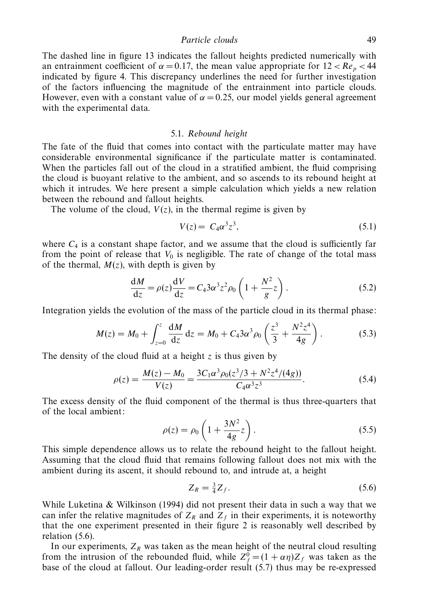Particle clouds 49

The dashed line in figure 13 indicates the fallout heights predicted numerically with an entrainment coefficient of  $\alpha = 0.17$ , the mean value appropriate for  $12 < Re_p < 44$ indicated by figure 4. This discrepancy underlines the need for further investigation of the factors influencing the magnitude of the entrainment into particle clouds. However, even with a constant value of  $\alpha = 0.25$ , our model yields general agreement with the experimental data.

#### 5.1. Rebound height

The fate of the fluid that comes into contact with the particulate matter may have considerable environmental significance if the particulate matter is contaminated. When the particles fall out of the cloud in a stratified ambient, the fluid comprising the cloud is buoyant relative to the ambient, and so ascends to its rebound height at which it intrudes. We here present a simple calculation which yields a new relation between the rebound and fallout heights.

The volume of the cloud,  $V(z)$ , in the thermal regime is given by

$$
V(z) = C_4 \alpha^3 z^3, \tag{5.1}
$$

where  $C_4$  is a constant shape factor, and we assume that the cloud is sufficiently far from the point of release that  $V_0$  is negligible. The rate of change of the total mass of the thermal,  $M(z)$ , with depth is given by

$$
\frac{\mathrm{d}M}{\mathrm{d}z} = \rho(z)\frac{\mathrm{d}V}{\mathrm{d}z} = C_4 3\alpha^3 z^2 \rho_0 \left(1 + \frac{N^2}{g}z\right). \tag{5.2}
$$

Integration yields the evolution of the mass of the particle cloud in its thermal phase:

$$
M(z) = M_0 + \int_{z=0}^{z} \frac{dM}{dz} dz = M_0 + C_4 3\alpha^3 \rho_0 \left(\frac{z^3}{3} + \frac{N^2 z^4}{4g}\right). \tag{5.3}
$$

The density of the cloud fluid at a height *z* is thus given by

$$
\rho(z) = \frac{M(z) - M_0}{V(z)} = \frac{3C_1\alpha^3 \rho_0(z^3/3 + N^2 z^4/(4g))}{C_4\alpha^3 z^3}.
$$
\n(5.4)

The excess density of the fluid component of the thermal is thus three-quarters that of the local ambient:

$$
\rho(z) = \rho_0 \left( 1 + \frac{3N^2}{4g} z \right). \tag{5.5}
$$

This simple dependence allows us to relate the rebound height to the fallout height. Assuming that the cloud fluid that remains following fallout does not mix with the ambient during its ascent, it should rebound to, and intrude at, a height

$$
Z_R = \frac{3}{4} Z_f. \tag{5.6}
$$

While Luketina  $\&$  Wilkinson (1994) did not present their data in such a way that we can infer the relative magnitudes of  $Z_R$  and  $Z_f$  in their experiments, it is noteworthy that the one experiment presented in their figure 2 is reasonably well described by relation (5.6).

In our experiments,  $Z_R$  was taken as the mean height of the neutral cloud resulting from the intrusion of the rebounded fluid, while  $Z_f^0 = (1 + \alpha \eta)Z_f$  was taken as the base of the cloud at fallout. Our leading-order result (5.7) thus may be re-expressed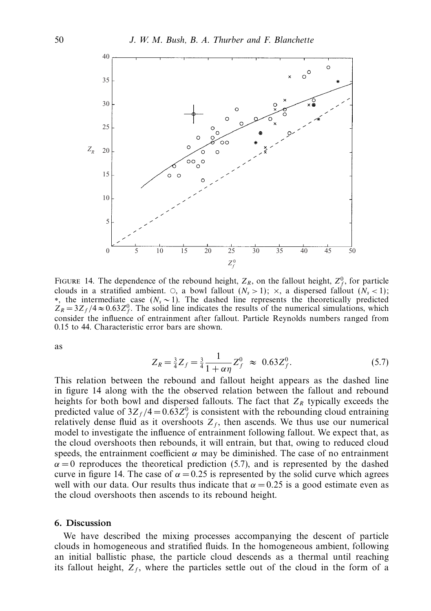

FIGURE 14. The dependence of the rebound height,  $Z_R$ , on the fallout height,  $Z_f^0$ , for particle clouds in a stratified ambient.  $\circ$ , a bowl fallout  $(N_s > 1)$ ;  $\times$ , a dispersed fallout  $(N_s < 1)$ ; ∗, the intermediate case (*Ns* ∼ 1). The dashed line represents the theoretically predicted  $Z_R = 3Z_f/4 \approx 0.63 Z_f^0$ . The solid line indicates the results of the numerical simulations, which consider the influence of entrainment after fallout. Particle Reynolds numbers ranged from 0.15 to 44. Characteristic error bars are shown.

as

$$
Z_R = \frac{3}{4} Z_f = \frac{3}{4} \frac{1}{1 + \alpha \eta} Z_f^0 \approx 0.63 Z_f^0.
$$
 (5.7)

This relation between the rebound and fallout height appears as the dashed line in figure 14 along with the the observed relation between the fallout and rebound heights for both bowl and dispersed fallouts. The fact that  $Z_R$  typically exceeds the predicted value of  $3Z_f/4 = 0.63Z_f^0$  is consistent with the rebounding cloud entraining relatively dense fluid as it overshoots  $Z_f$ , then ascends. We thus use our numerical model to investigate the influence of entrainment following fallout. We expect that, as the cloud overshoots then rebounds, it will entrain, but that, owing to reduced cloud speeds, the entrainment coefficient  $\alpha$  may be diminished. The case of no entrainment  $\alpha = 0$  reproduces the theoretical prediction (5.7), and is represented by the dashed curve in figure 14. The case of  $\alpha = 0.25$  is represented by the solid curve which agrees well with our data. Our results thus indicate that  $\alpha = 0.25$  is a good estimate even as the cloud overshoots then ascends to its rebound height.

#### *6. Discussion*

We have described the mixing processes accompanying the descent of particle clouds in homogeneous and stratified fluids. In the homogeneous ambient, following an initial ballistic phase, the particle cloud descends as a thermal until reaching its fallout height,  $Z_f$ , where the particles settle out of the cloud in the form of a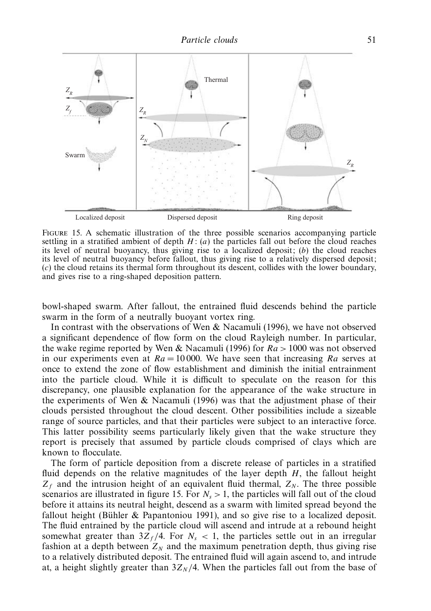

Figure 15. A schematic illustration of the three possible scenarios accompanying particle settling in a stratified ambient of depth  $H: (a)$  the particles fall out before the cloud reaches its level of neutral buoyancy, thus giving rise to a localized deposit; (*b*) the cloud reaches its level of neutral buoyancy before fallout, thus giving rise to a relatively dispersed deposit; (*c*) the cloud retains its thermal form throughout its descent, collides with the lower boundary, and gives rise to a ring-shaped deposition pattern.

bowl-shaped swarm. After fallout, the entrained fluid descends behind the particle swarm in the form of a neutrally buoyant vortex ring.

In contrast with the observations of Wen & Nacamuli (1996), we have not observed a significant dependence of flow form on the cloud Rayleigh number. In particular, the wake regime reported by Wen & Nacamuli (1996) for *Ra >* 1000 was not observed in our experiments even at  $Ra = 10000$ . We have seen that increasing  $Ra$  serves at once to extend the zone of flow establishment and diminish the initial entrainment into the particle cloud. While it is difficult to speculate on the reason for this discrepancy, one plausible explanation for the appearance of the wake structure in the experiments of Wen  $\&$  Nacamuli (1996) was that the adjustment phase of their clouds persisted throughout the cloud descent. Other possibilities include a sizeable range of source particles, and that their particles were subject to an interactive force. This latter possibility seems particularly likely given that the wake structure they report is precisely that assumed by particle clouds comprised of clays which are known to flocculate.

The form of particle deposition from a discrete release of particles in a stratified fluid depends on the relative magnitudes of the layer depth *H*, the fallout height  $Z_f$  and the intrusion height of an equivalent fluid thermal,  $Z_N$ . The three possible scenarios are illustrated in figure 15. For  $N_s > 1$ , the particles will fall out of the cloud before it attains its neutral height, descend as a swarm with limited spread beyond the fallout height (Bühler & Papantoniou 1991), and so give rise to a localized deposit. The fluid entrained by the particle cloud will ascend and intrude at a rebound height somewhat greater than  $3Z_f/4$ . For  $N_s < 1$ , the particles settle out in an irregular fashion at a depth between  $Z_N$  and the maximum penetration depth, thus giving rise to a relatively distributed deposit. The entrained fluid will again ascend to, and intrude at, a height slightly greater than  $3Z_N/4$ . When the particles fall out from the base of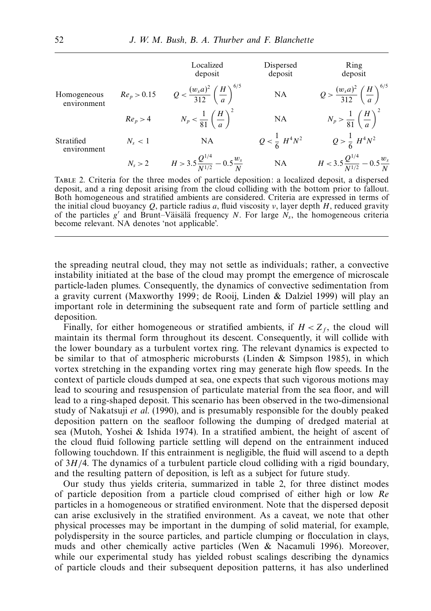|                            |                 | Localized<br>deposit                                       | Dispersed<br>deposit      | Ring<br>deposit                                          |
|----------------------------|-----------------|------------------------------------------------------------|---------------------------|----------------------------------------------------------|
| Homogeneous<br>environment | $Re_p > 0.15$   | $Q < \frac{(w_s a)^2}{312} \left(\frac{H}{a}\right)^{6/3}$ | <b>NA</b>                 | $Q > \frac{(w_s a)^2}{312} \left(\frac{H}{a}\right)^{6}$ |
|                            | $Re_p > 4$      | $N_p < \frac{1}{81} \left(\frac{H}{a}\right)^2$            | NA                        | $N_p > \frac{1}{81} \left(\frac{H}{a}\right)^2$          |
| Stratified<br>environment  | $N_s < 1$       | NA                                                         | $Q < \frac{1}{6} H^4 N^2$ | $Q > \frac{1}{6} H^4 N^2$                                |
|                            | $N_{\rm s} > 2$ | $H > 3.5 \frac{Q^{1/4}}{N^{1/2}} - 0.5 \frac{w_s}{N}$      | NA                        | $H < 3.5 \frac{Q^{1/4}}{N^{1/2}} - 0.5 \frac{w_s}{N}$    |

Table 2. Criteria for the three modes of particle deposition: a localized deposit, a dispersed deposit, and a ring deposit arising from the cloud colliding with the bottom prior to fallout. Both homogeneous and stratified ambients are considered. Criteria are expressed in terms of the initial cloud buoyancy *Q*, particle radius *a*, fluid viscosity *ν*, layer depth *H*, reduced gravity of the particles  $g'$  and Brunt–Väisälä frequency *N*. For large  $N_s$ , the homogeneous criteria become relevant. NA denotes 'not applicable'.

the spreading neutral cloud, they may not settle as individuals; rather, a convective instability initiated at the base of the cloud may prompt the emergence of microscale particle-laden plumes. Consequently, the dynamics of convective sedimentation from a gravity current (Maxworthy 1999; de Rooij, Linden & Dalziel 1999) will play an important role in determining the subsequent rate and form of particle settling and deposition.

Finally, for either homogeneous or stratified ambients, if  $H < Z_f$ , the cloud will maintain its thermal form throughout its descent. Consequently, it will collide with the lower boundary as a turbulent vortex ring. The relevant dynamics is expected to be similar to that of atmospheric microbursts (Linden  $\&$  Simpson 1985), in which vortex stretching in the expanding vortex ring may generate high flow speeds. In the context of particle clouds dumped at sea, one expects that such vigorous motions may lead to scouring and resuspension of particulate material from the sea floor, and will lead to a ring-shaped deposit. This scenario has been observed in the two-dimensional study of Nakatsuji et al. (1990), and is presumably responsible for the doubly peaked deposition pattern on the seafloor following the dumping of dredged material at sea (Mutoh, Yoshei & Ishida 1974). In a stratified ambient, the height of ascent of the cloud fluid following particle settling will depend on the entrainment induced following touchdown. If this entrainment is negligible, the fluid will ascend to a depth of 3*H/*4. The dynamics of a turbulent particle cloud colliding with a rigid boundary, and the resulting pattern of deposition, is left as a subject for future study.

Our study thus yields criteria, summarized in table 2, for three distinct modes of particle deposition from a particle cloud comprised of either high or low Re particles in a homogeneous or stratified environment. Note that the dispersed deposit can arise exclusively in the stratified environment. As a caveat, we note that other physical processes may be important in the dumping of solid material, for example, polydispersity in the source particles, and particle clumping or flocculation in clays, muds and other chemically active particles (Wen & Nacamuli 1996). Moreover, while our experimental study has yielded robust scalings describing the dynamics of particle clouds and their subsequent deposition patterns, it has also underlined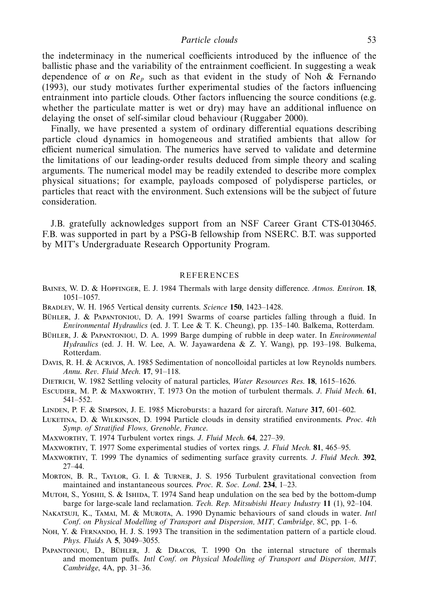the indeterminacy in the numerical coefficients introduced by the influence of the ballistic phase and the variability of the entrainment coefficient. In suggesting a weak dependence of  $\alpha$  on  $Re_p$  such as that evident in the study of Noh & Fernando (1993), our study motivates further experimental studies of the factors influencing entrainment into particle clouds. Other factors influencing the source conditions (e.g. whether the particulate matter is wet or dry) may have an additional influence on delaying the onset of self-similar cloud behaviour (Ruggaber 2000).

Finally, we have presented a system of ordinary differential equations describing particle cloud dynamics in homogeneous and stratified ambients that allow for efficient numerical simulation. The numerics have served to validate and determine the limitations of our leading-order results deduced from simple theory and scaling arguments. The numerical model may be readily extended to describe more complex physical situations; for example, payloads composed of polydisperse particles, or particles that react with the environment. Such extensions will be the subject of future consideration.

J.B. gratefully acknowledges support from an NSF Career Grant CTS-0130465. F.B. was supported in part by a PSG-B fellowship from NSERC. B.T. was supported by MIT's Undergraduate Research Opportunity Program.

#### REFERENCES

- Baines, W. D. & Hopfinger, E. J. 1984 Thermals with large density difference. Atmos. Environ. **18**, 1051–1057.
- Bradley, W. H. 1965 Vertical density currents. Science **150**, 1423–1428.
- BÜHLER, J. & PAPANTONIOU, D. A. 1991 Swarms of coarse particles falling through a fluid. In Environmental Hydraulics (ed. J. T. Lee & T. K. Cheung), pp. 135–140. Balkema, Rotterdam.
- BÜHLER, J. & PAPANTONIOU, D. A. 1999 Barge dumping of rubble in deep water. In *Environmental* Hydraulics (ed. J. H. W. Lee, A. W. Jayawardena & Z. Y. Wang), pp. 193–198. Bulkema, Rotterdam.
- Davis, R. H. & Acrivos, A. 1985 Sedimentation of noncolloidal particles at low Reynolds numbers. Annu. Rev. Fluid Mech. **17**, 91–118.
- DIETRICH, W. 1982 Settling velocity of natural particles, Water Resources Res. 18, 1615–1626.
- Escudier, M. P. & Maxworthy, T. 1973 On the motion of turbulent thermals. J. Fluid Mech. **61**, 541–552.
- Linden, P. F. & Simpson, J. E. 1985 Microbursts: a hazard for aircraft. Nature **317**, 601–602.
- LUKETINA, D. & WILKINSON, D. 1994 Particle clouds in density stratified environments. Proc. 4th Symp. of Stratified Flows, Grenoble, France.
- Maxworthy, T. 1974 Turbulent vortex rings. J. Fluid Mech. **64**, 227–39.
- Maxworthy, T. 1977 Some experimental studies of vortex rings. J. Fluid Mech. **81**, 465–95.
- Maxworthy, T. 1999 The dynamics of sedimenting surface gravity currents. J. Fluid Mech. **392**, 27–44.
- Morton, B. R., Taylor, G. I. & Turner, J. S. 1956 Turbulent gravitational convection from maintained and instantaneous sources. Proc. R. Soc. Lond. **234**, 1–23.
- MUTOH, S., YOSHII, S. & ISHIDA, T. 1974 Sand heap undulation on the sea bed by the bottom-dump barge for large-scale land reclamation. Tech. Rep. Mitsubishi Heavy Industry **11** (1), 92–104.
- NAKATSUJI, K., TAMAI, M. & MUROTA, A. 1990 Dynamic behaviours of sand clouds in water. Intl Conf. on Physical Modelling of Transport and Dispersion, MIT, Cambridge, 8C, pp. 1–6.
- NOH, Y. & FERNANDO, H. J. S. 1993 The transition in the sedimentation pattern of a particle cloud. Phys. Fluids A **5**, 3049–3055.
- PAPANTONIOU, D., BÜHLER, J. & DRACOS, T. 1990 On the internal structure of thermals and momentum puffs. Intl Conf. on Physical Modelling of Transport and Dispersion, MIT, Cambridge, 4A, pp. 31–36.